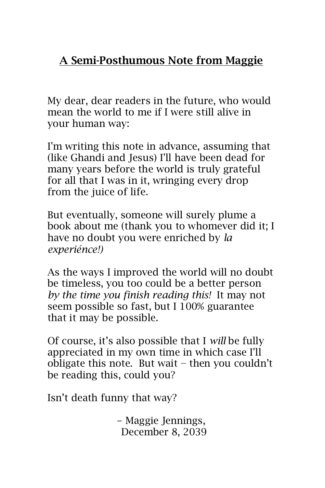### **A Semi-Posthumous Note from Maggie**

My dear, dear readers in the future, who would mean the world to me if I were still alive in your human way:

I'm writing this note in advance, assuming that (like Ghandi and Jesus) I'll have been dead for many years before the world is truly grateful for all that I was in it, wringing every drop from the juice of life.

But eventually, someone will surely plume a book about me (thank you to whomever did it; I have no doubt you were enriched by *la experiénce!)*

As the ways I improved the world will no doubt be timeless, you too could be a better person *by the time you finish reading this!* It may not seem possible so fast, but I 100% guarantee that it may be possible.

Of course, it's also possible that I *will* be fully appreciated in my own time in which case I'll obligate this note. But wait − then you couldn't be reading this, could you?

Isn't death funny that way?

- Maggie Jennings, December 8, 2039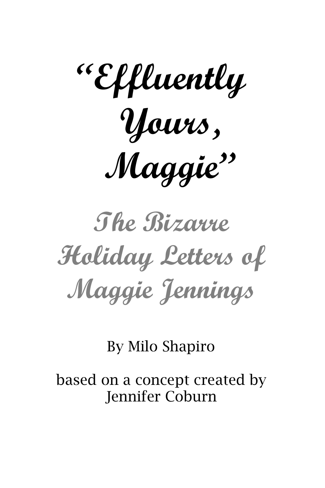

**The Bizarre Holiday Letters of Maggie Jennings**

By Milo Shapiro

based on a concept created by Jennifer Coburn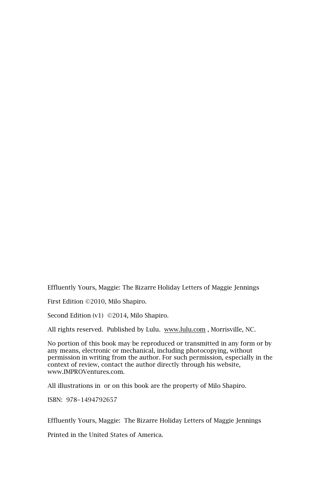Effluently Yours, Maggie: The Bizarre Holiday Letters of Maggie Jennings

First Edition ©2010, Milo Shapiro.

Second Edition (v1) ©2014, Milo Shapiro.

All rights reserved. Published by Lulu. [www.lulu.com](http://www.lulu.com/) , Morrisville, NC.

No portion of this book may be reproduced or transmitted in any form or by any means, electronic or mechanical, including photocopying, without permission in writing from the author. For such permission, especially in the context of review, contact the author directly through his website, www.IMPROVentures.com.

All illustrations in or on this book are the property of Milo Shapiro.

ISBN: 978-1494792657

Effluently Yours, Maggie: The Bizarre Holiday Letters of Maggie Jennings

Printed in the United States of America.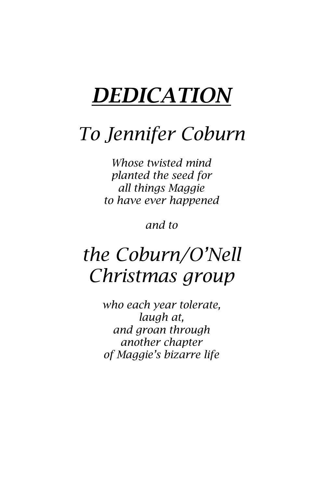# *DEDICATION*

## *To Jennifer Coburn*

*Whose twisted mind planted the seed for all things Maggie to have ever happened*

*and to*

## *the Coburn/O'Nell Christmas group*

*who each year tolerate, laugh at, and groan through another chapter of Maggie's bizarre life*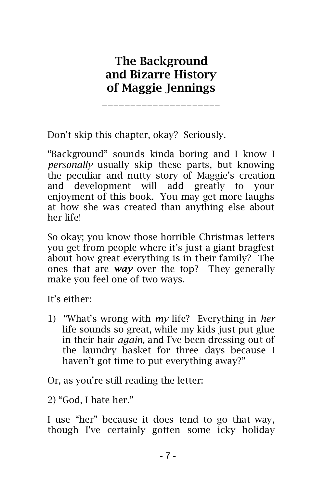### **The Background and Bizarre History of Maggie Jennings** \_\_\_\_\_\_\_\_\_\_\_\_\_\_\_\_\_\_\_\_\_

Don't skip this chapter, okay? Seriously.

"Background" sounds kinda boring and I know I *personally* usually skip these parts, but knowing the peculiar and nutty story of Maggie's creation and development will add greatly to your enjoyment of this book. You may get more laughs at how she was created than anything else about her life!

So okay; you know those horrible Christmas letters you get from people where it's just a giant bragfest about how great everything is in their family? The ones that are *way* over the top? They generally make you feel one of two ways.

It's either:

1) "What's wrong with *my* life? Everything in *her* life sounds so great, while my kids just put glue in their hair *again,* and I've been dressing out of the laundry basket for three days because I haven't got time to put everything away?"

Or, as you're still reading the letter:

2) "God, I hate her."

I use "her" because it does tend to go that way, though I've certainly gotten some icky holiday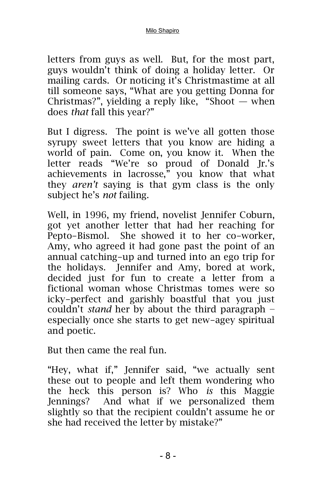letters from guys as well. But, for the most part, guys wouldn't think of doing a holiday letter. Or mailing cards. Or noticing it's Christmastime at all till someone says, "What are you getting Donna for Christmas?", yielding a reply like, "Shoot  $-$  when does *that* fall this year?"

But I digress. The point is we've all gotten those syrupy sweet letters that you know are hiding a world of pain. Come on, you know it. When the letter reads "We're so proud of Donald Jr.'s achievements in lacrosse," you know that what they *aren't* saying is that gym class is the only subject he's *not* failing.

Well, in 1996, my friend, novelist Jennifer Coburn, got yet another letter that had her reaching for Pepto-Bismol. She showed it to her co-worker, Amy, who agreed it had gone past the point of an annual catching-up and turned into an ego trip for the holidays. Jennifer and Amy, bored at work, decided just for fun to create a letter from a fictional woman whose Christmas tomes were so icky-perfect and garishly boastful that you just couldn't *stand* her by about the third paragraph − especially once she starts to get new-agey spiritual and poetic.

But then came the real fun.

"Hey, what if," Jennifer said, "we actually sent these out to people and left them wondering who the heck this person is? Who *is* this Maggie Jennings? And what if we personalized them slightly so that the recipient couldn't assume he or she had received the letter by mistake?"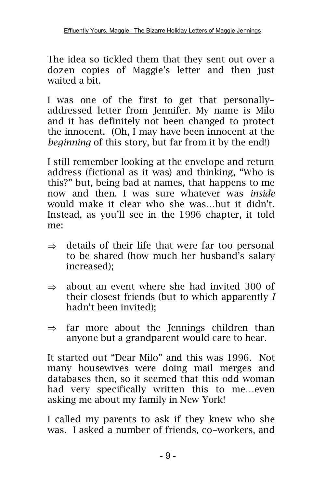The idea so tickled them that they sent out over a dozen copies of Maggie's letter and then just waited a bit.

I was one of the first to get that personallyaddressed letter from Jennifer. My name is Milo and it has definitely not been changed to protect the innocent. (Oh, I may have been innocent at the *beginning* of this story, but far from it by the end!)

I still remember looking at the envelope and return address (fictional as it was) and thinking, "Who is this?" but, being bad at names, that happens to me now and then. I was sure whatever was *inside* would make it clear who she was…but it didn't. Instead, as you'll see in the 1996 chapter, it told me:

- $\Rightarrow$  details of their life that were far too personal to be shared (how much her husband's salary increased);
- $\Rightarrow$  about an event where she had invited 300 of their closest friends (but to which apparently *I* hadn't been invited);
- $\Rightarrow$  far more about the Jennings children than anyone but a grandparent would care to hear.

It started out "Dear Milo" and this was 1996. Not many housewives were doing mail merges and databases then, so it seemed that this odd woman had very specifically written this to me…even asking me about my family in New York!

I called my parents to ask if they knew who she was. I asked a number of friends, co-workers, and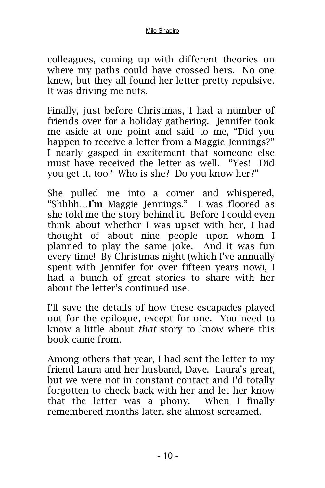#### Milo Shapiro

colleagues, coming up with different theories on where my paths could have crossed hers. No one knew, but they all found her letter pretty repulsive. It was driving me nuts.

Finally, just before Christmas, I had a number of friends over for a holiday gathering. Jennifer took me aside at one point and said to me, "Did you happen to receive a letter from a Maggie Jennings?" I nearly gasped in excitement that someone else must have received the letter as well. "Yes! Did you get it, too? Who is she? Do you know her?"

She pulled me into a corner and whispered, "Shhhh…**I'm** Maggie Jennings." I was floored as she told me the story behind it. Before I could even think about whether I was upset with her, I had thought of about nine people upon whom I planned to play the same joke. And it was fun every time! By Christmas night (which I've annually spent with Jennifer for over fifteen years now), I had a bunch of great stories to share with her about the letter's continued use.

I'll save the details of how these escapades played out for the epilogue, except for one. You need to know a little about *that* story to know where this book came from.

Among others that year, I had sent the letter to my friend Laura and her husband, Dave. Laura's great, but we were not in constant contact and I'd totally forgotten to check back with her and let her know that the letter was a phony. When I finally remembered months later, she almost screamed.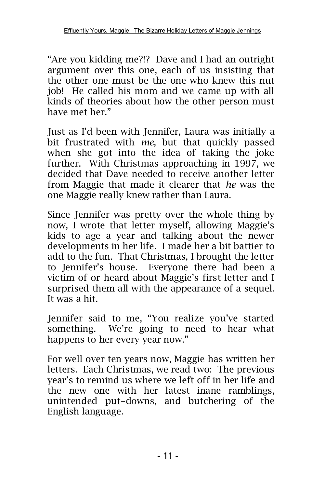"Are you kidding me?!? Dave and I had an outright argument over this one, each of us insisting that the other one must be the one who knew this nut job! He called his mom and we came up with all kinds of theories about how the other person must have met her."

Just as I'd been with Jennifer, Laura was initially a bit frustrated with *me*, but that quickly passed when she got into the idea of taking the joke further. With Christmas approaching in 1997, we decided that Dave needed to receive another letter from Maggie that made it clearer that *he* was the one Maggie really knew rather than Laura.

Since Jennifer was pretty over the whole thing by now, I wrote that letter myself, allowing Maggie's kids to age a year and talking about the newer developments in her life. I made her a bit battier to add to the fun. That Christmas, I brought the letter to Jennifer's house. Everyone there had been a victim of or heard about Maggie's first letter and I surprised them all with the appearance of a sequel. It was a hit.

Jennifer said to me, "You realize you've started something. We're going to need to hear what happens to her every year now."

For well over ten years now, Maggie has written her letters. Each Christmas, we read two: The previous year's to remind us where we left off in her life and the new one with her latest inane ramblings, unintended put-downs, and butchering of the English language.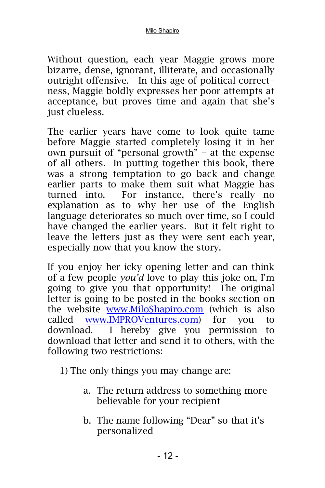Without question, each year Maggie grows more bizarre, dense, ignorant, illiterate, and occasionally outright offensive. In this age of political correctness, Maggie boldly expresses her poor attempts at acceptance, but proves time and again that she's just clueless.

The earlier years have come to look quite tame before Maggie started completely losing it in her own pursuit of "personal growth" − at the expense of all others. In putting together this book, there was a strong temptation to go back and change earlier parts to make them suit what Maggie has turned into. For instance, there's really no explanation as to why her use of the English language deteriorates so much over time, so I could have changed the earlier years. But it felt right to leave the letters just as they were sent each year, especially now that you know the story.

If you enjoy her icky opening letter and can think of a few people *you'd* love to play this joke on, I'm going to give you that opportunity! The original letter is going to be posted in the books section on the website [www.MiloShapiro.com](http://www.miloshapiro.com/) (which is also called [www.IMPROVentures.com\)](http://www.improventures.com/) for you to download. I hereby give you permission to download that letter and send it to others, with the following two restrictions:

1) The only things you may change are:

- a. The return address to something more believable for your recipient
- b. The name following "Dear" so that it's personalized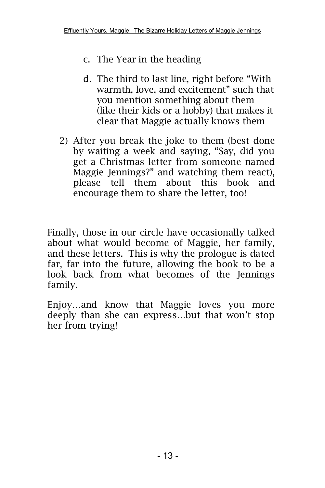- c. The Year in the heading
- d. The third to last line, right before "With warmth, love, and excitement" such that you mention something about them (like their kids or a hobby) that makes it clear that Maggie actually knows them
- 2) After you break the joke to them (best done by waiting a week and saying, "Say, did you get a Christmas letter from someone named Maggie Jennings?" and watching them react), please tell them about this book and encourage them to share the letter, too!

Finally, those in our circle have occasionally talked about what would become of Maggie, her family, and these letters. This is why the prologue is dated far, far into the future, allowing the book to be a look back from what becomes of the Jennings family.

Enjoy…and know that Maggie loves you more deeply than she can express…but that won't stop her from trying!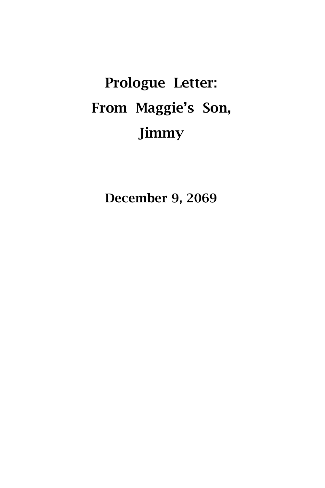# **Prologue Letter: From Maggie's Son, Jimmy**

**December 9, 2069**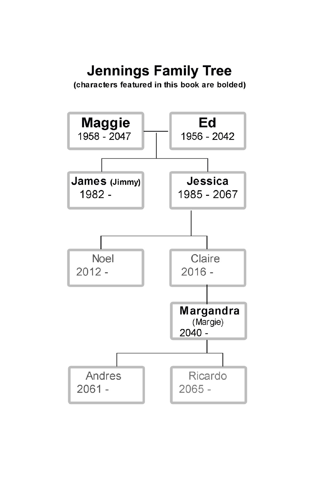## **Jennings Family Tree**

(characters featured in this book are bolded)

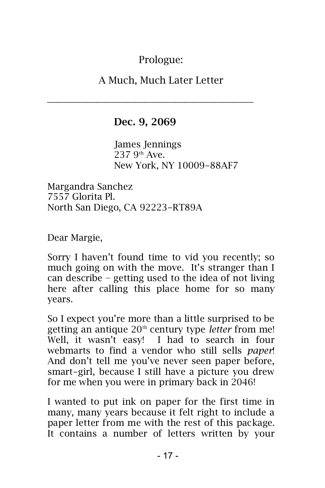Prologue:

A Much, Much Later Letter

#### **Dec. 9, 2069**

James Jennings  $237.9^{th}$  Ave. New York, NY 10009-88AF7

Margandra Sanchez 7557 Glorita Pl. North San Diego, CA 92223-RT89A

Dear Margie,

Sorry I haven't found time to vid you recently; so much going on with the move. It's stranger than I can describe − getting used to the idea of not living here after calling this place home for so many years.

So I expect you're more than a little surprised to be getting an antique 20<sup>th</sup> century type *letter* from me! Well, it wasn't easy! I had to search in four webmarts to find a vendor who still sells *paper*! And don't tell me you've never seen paper before, smart-girl, because I still have a picture you drew for me when you were in primary back in 2046!

I wanted to put ink on paper for the first time in many, many years because it felt right to include a paper letter from me with the rest of this package. It contains a number of letters written by your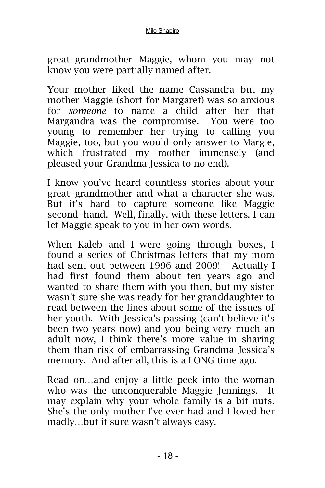#### Milo Shapiro

great-grandmother Maggie, whom you may not know you were partially named after.

Your mother liked the name Cassandra but my mother Maggie (short for Margaret) was so anxious for *someone* to name a child after her that Margandra was the compromise. You were too young to remember her trying to calling you Maggie, too, but you would only answer to Margie, which frustrated my mother immensely (and pleased your Grandma Jessica to no end).

I know you've heard countless stories about your great-grandmother and what a character she was. But it's hard to capture someone like Maggie second-hand. Well, finally, with these letters, I can let Maggie speak to you in her own words.

When Kaleb and I were going through boxes, I found a series of Christmas letters that my mom had sent out between 1996 and 2009! Actually I had first found them about ten years ago and wanted to share them with you then, but my sister wasn't sure she was ready for her granddaughter to read between the lines about some of the issues of her youth. With Jessica's passing (can't believe it's been two years now) and you being very much an adult now, I think there's more value in sharing them than risk of embarrassing Grandma Jessica's memory. And after all, this is a LONG time ago.

Read on…and enjoy a little peek into the woman who was the unconquerable Maggie Jennings. It may explain why your whole family is a bit nuts. She's the only mother I've ever had and I loved her madly…but it sure wasn't always easy.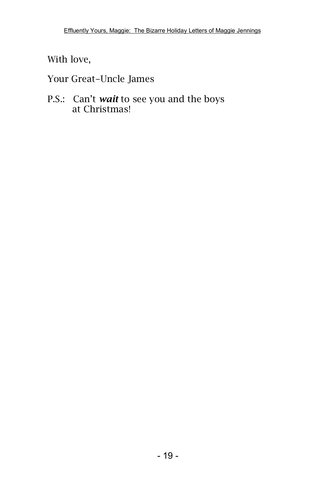With love,

Your Great-Uncle James

P.S.: Can't *wait* to see you and the boys at Christmas!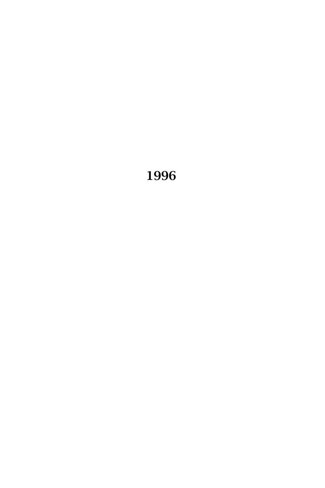##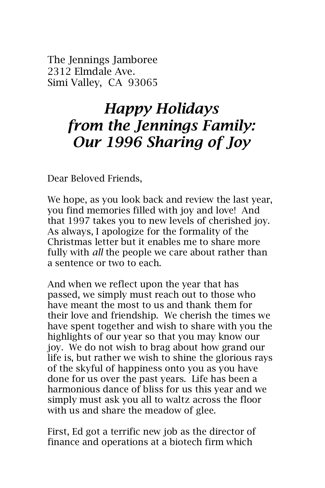The Jennings Jamboree 2312 Elmdale Ave. Simi Valley, CA 93065

## *Happy Holidays from the Jennings Family: Our 1996 Sharing of Joy*

Dear Beloved Friends,

We hope, as you look back and review the last year, you find memories filled with joy and love! And that 1997 takes you to new levels of cherished joy. As always, I apologize for the formality of the Christmas letter but it enables me to share more fully with *all* the people we care about rather than a sentence or two to each.

And when we reflect upon the year that has passed, we simply must reach out to those who have meant the most to us and thank them for their love and friendship. We cherish the times we have spent together and wish to share with you the highlights of our year so that you may know our joy. We do not wish to brag about how grand our life is, but rather we wish to shine the glorious rays of the skyful of happiness onto you as you have done for us over the past years. Life has been a harmonious dance of bliss for us this year and we simply must ask you all to waltz across the floor with us and share the meadow of glee.

First, Ed got a terrific new job as the director of finance and operations at a biotech firm which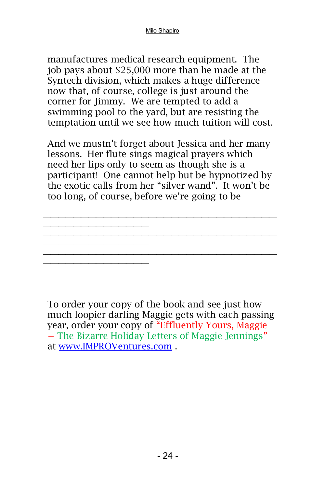manufactures medical research equipment. The job pays about \$25,000 more than he made at the Syntech division, which makes a huge difference now that, of course, college is just around the corner for Jimmy. We are tempted to add a swimming pool to the yard, but are resisting the temptation until we see how much tuition will cost.

And we mustn't forget about Jessica and her many lessons. Her flute sings magical prayers which need her lips only to seem as though she is a participant! One cannot help but be hypnotized by the exotic calls from her "silver wand". It won't be too long, of course, before we're going to be

 

To order your copy of the book and see just how much loopier darling Maggie gets with each passing year, order your copy of "Effluently Yours, Maggie − The Bizarre Holiday Letters of Maggie Jennings" at [www.IMPROVentures.com](http://www.improventures.com/) .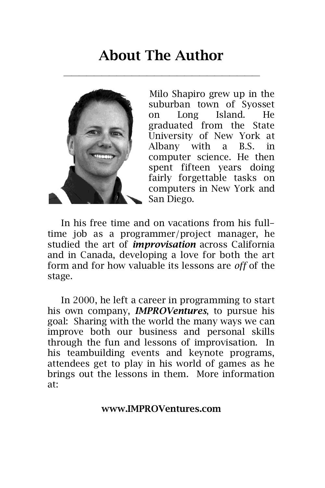### **About The Author**



Milo Shapiro grew up in the suburban town of Syosset on Long Island. He graduated from the State University of New York at Albany with a B.S. in computer science. He then spent fifteen years doing fairly forgettable tasks on computers in New York and San Diego.

In his free time and on vacations from his fulltime job as a programmer/project manager, he studied the art of *improvisation* across California and in Canada, developing a love for both the art form and for how valuable its lessons are *off* of the stage.

In 2000, he left a career in programming to start his own company, *IMPROVentures*, to pursue his goal: Sharing with the world the many ways we can improve both our business and personal skills through the fun and lessons of improvisation. In his teambuilding events and keynote programs, attendees get to play in his world of games as he brings out the lessons in them. More information at:

**www.IMPROVentures.com**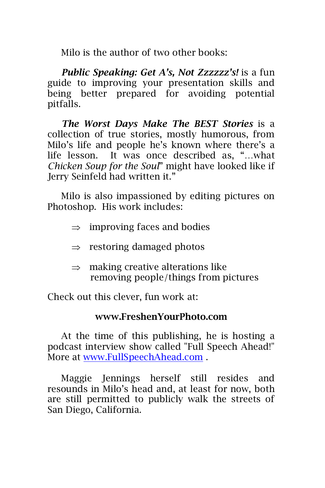Milo is the author of two other books:

*Public Speaking: Get A's, Not Zzzzzz's!* is a fun guide to improving your presentation skills and being better prepared for avoiding potential pitfalls.

*The Worst Days Make The BEST Stories* is a collection of true stories, mostly humorous, from Milo's life and people he's known where there's a life lesson. It was once described as, "…what *Chicken Soup for the Soul*" might have looked like if Jerry Seinfeld had written it."

Milo is also impassioned by editing pictures on Photoshop. His work includes:

- $\Rightarrow$  improving faces and bodies
- $\Rightarrow$  restoring damaged photos
- $\Rightarrow$  making creative alterations like removing people/things from pictures

Check out this clever, fun work at:

#### **[www.FreshenYourPhoto.com](http://www.freshenyourphoto.com/)**

At the time of this publishing, he is hosting a podcast interview show called "Full Speech Ahead!" More at [www.FullSpeechAhead.com](http://www.fullspeechahead.com/) .

Maggie Jennings herself still resides and resounds in Milo's head and, at least for now, both are still permitted to publicly walk the streets of San Diego, California.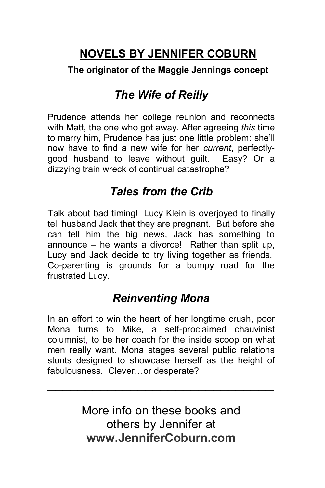### **NOVELS BY JENNIFER COBURN**

#### **The originator of the Maggie Jennings concept**

### *The Wife of Reilly*

Prudence attends her college reunion and reconnects with Matt, the one who got away. After agreeing *this* time to marry him, Prudence has just one little problem: she'll now have to find a new wife for her *current*, perfectlygood husband to leave without guilt. Easy? Or a dizzying train wreck of continual catastrophe?

### *Tales from the Crib*

Talk about bad timing! Lucy Klein is overjoyed to finally tell husband Jack that they are pregnant. But before she can tell him the big news, Jack has something to announce – he wants a divorce! Rather than split up, Lucy and Jack decide to try living together as friends. Co-parenting is grounds for a bumpy road for the frustrated Lucy.

### *Reinventing Mona*

In an effort to win the heart of her longtime crush, poor Mona turns to Mike, a self-proclaimed chauvinist columnist, to be her coach for the inside scoop on what men really want. Mona stages several public relations stunts designed to showcase herself as the height of fabulousness. Clever…or desperate?

> More info on these books and others by Jennifer at **www.JenniferCoburn.com**